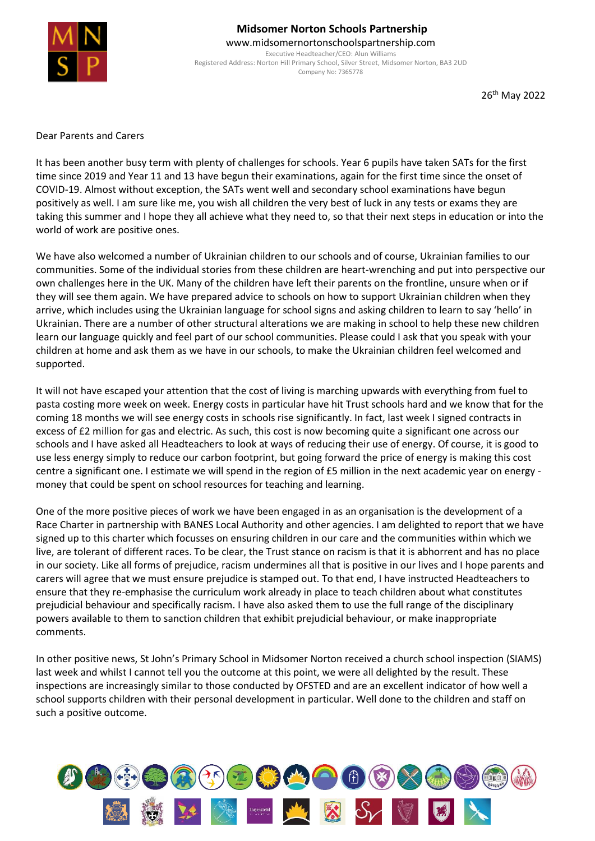

## **Midsomer Norton Schools Partnership** www.midsomernortonschoolspartnership.com

Executive Headteacher/CEO: Alun Williams Registered Address: Norton Hill Primary School, Silver Street, Midsomer Norton, BA3 2UD Company No: 7365778

26<sup>th</sup> May 2022

Dear Parents and Carers

It has been another busy term with plenty of challenges for schools. Year 6 pupils have taken SATs for the first time since 2019 and Year 11 and 13 have begun their examinations, again for the first time since the onset of COVID-19. Almost without exception, the SATs went well and secondary school examinations have begun positively as well. I am sure like me, you wish all children the very best of luck in any tests or exams they are taking this summer and I hope they all achieve what they need to, so that their next steps in education or into the world of work are positive ones.

We have also welcomed a number of Ukrainian children to our schools and of course, Ukrainian families to our communities. Some of the individual stories from these children are heart-wrenching and put into perspective our own challenges here in the UK. Many of the children have left their parents on the frontline, unsure when or if they will see them again. We have prepared advice to schools on how to support Ukrainian children when they arrive, which includes using the Ukrainian language for school signs and asking children to learn to say 'hello' in Ukrainian. There are a number of other structural alterations we are making in school to help these new children learn our language quickly and feel part of our school communities. Please could I ask that you speak with your children at home and ask them as we have in our schools, to make the Ukrainian children feel welcomed and supported.

It will not have escaped your attention that the cost of living is marching upwards with everything from fuel to pasta costing more week on week. Energy costs in particular have hit Trust schools hard and we know that for the coming 18 months we will see energy costs in schools rise significantly. In fact, last week I signed contracts in excess of £2 million for gas and electric. As such, this cost is now becoming quite a significant one across our schools and I have asked all Headteachers to look at ways of reducing their use of energy. Of course, it is good to use less energy simply to reduce our carbon footprint, but going forward the price of energy is making this cost centre a significant one. I estimate we will spend in the region of £5 million in the next academic year on energy money that could be spent on school resources for teaching and learning.

One of the more positive pieces of work we have been engaged in as an organisation is the development of a Race Charter in partnership with BANES Local Authority and other agencies. I am delighted to report that we have signed up to this charter which focusses on ensuring children in our care and the communities within which we live, are tolerant of different races. To be clear, the Trust stance on racism is that it is abhorrent and has no place in our society. Like all forms of prejudice, racism undermines all that is positive in our lives and I hope parents and carers will agree that we must ensure prejudice is stamped out. To that end, I have instructed Headteachers to ensure that they re-emphasise the curriculum work already in place to teach children about what constitutes prejudicial behaviour and specifically racism. I have also asked them to use the full range of the disciplinary powers available to them to sanction children that exhibit prejudicial behaviour, or make inappropriate comments.

In other positive news, St John's Primary School in Midsomer Norton received a church school inspection (SIAMS) last week and whilst I cannot tell you the outcome at this point, we were all delighted by the result. These inspections are increasingly similar to those conducted by OFSTED and are an excellent indicator of how well a school supports children with their personal development in particular. Well done to the children and staff on such a positive outcome.